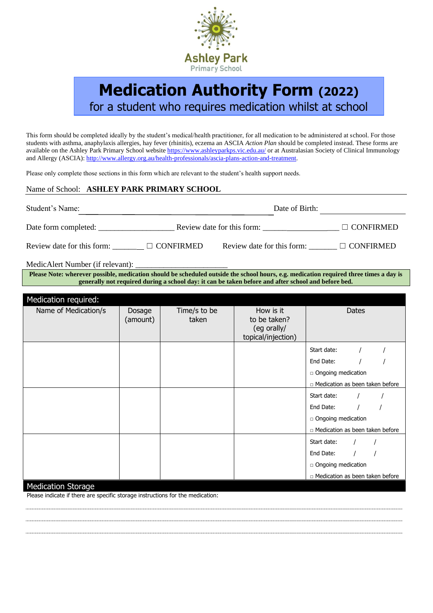

# **Medication Authority Form (2022)** for a student who requires medication whilst at school

This form should be completed ideally by the student's medical/health practitioner, for all medication to be administered at school. For those students with asthma, anaphylaxis allergies, hay fever (rhinitis), eczema an ASCIA *Action Plan* should be completed instead. These forms are available on the Ashley Park Primary School website<https://www.ashleyparkps.vic.edu.au/> or at Australasian Society of Clinical Immunology and Allergy (ASCIA)[: http://www.allergy.org.au/health-professionals/ascia-plans-action-and-treatment.](http://www.allergy.org.au/health-professionals/ascia-plans-action-and-treatment)

Please only complete those sections in this form which are relevant to the student's health support needs.

# Name of School: **ASHLEY PARK PRIMARY SCHOOL**

| Student's Name:            |                  | Date of Birth:             |                  |  |  |
|----------------------------|------------------|----------------------------|------------------|--|--|
| Date form completed:       |                  | Review date for this form: | $\Box$ CONFIRMED |  |  |
| Review date for this form: | $\Box$ CONFIRMED | Review date for this form: | $\Box$ CONFIRMED |  |  |
|                            |                  |                            |                  |  |  |

MedicAlert Number (if relevant):

**Please Note: wherever possible, medication should be scheduled outside the school hours, e.g. medication required three times a day is generally not required during a school day: it can be taken before and after school and before bed.**

| Medication required:    |                    |                       |                                                                |                                   |  |
|-------------------------|--------------------|-----------------------|----------------------------------------------------------------|-----------------------------------|--|
| Name of Medication/s    | Dosage<br>(amount) | Time/s to be<br>taken | How is it<br>to be taken?<br>(eg orally/<br>topical/injection) | Dates                             |  |
|                         |                    |                       |                                                                | Start date:                       |  |
|                         |                    |                       |                                                                | End Date:                         |  |
|                         |                    |                       |                                                                | □ Ongoing medication              |  |
|                         |                    |                       |                                                                | n Medication as been taken before |  |
|                         |                    |                       |                                                                | Start date:                       |  |
|                         |                    |                       |                                                                | End Date:                         |  |
|                         |                    |                       |                                                                | □ Ongoing medication              |  |
|                         |                    |                       |                                                                | n Medication as been taken before |  |
|                         |                    |                       |                                                                | Start date:                       |  |
|                         |                    |                       |                                                                | End Date:                         |  |
|                         |                    |                       |                                                                | □ Ongoing medication              |  |
|                         |                    |                       |                                                                | n Medication as been taken before |  |
| <b>MARINEZING CHAIR</b> |                    |                       |                                                                |                                   |  |

# Medication Storage

Please indicate if there are specific storage instructions for the medication: